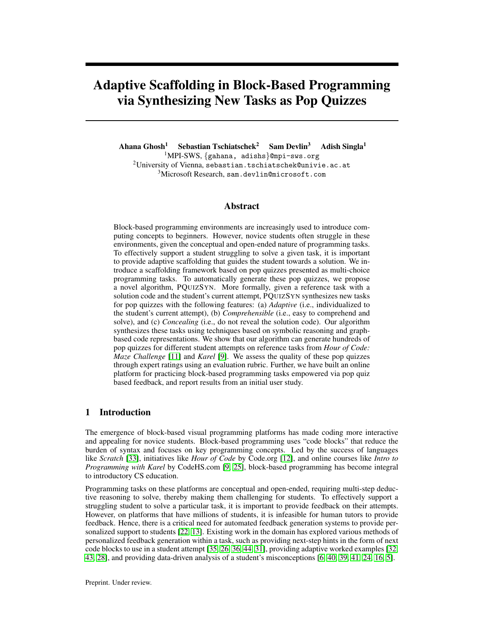# Adaptive Scaffolding in Block-Based Programming via Synthesizing New Tasks as Pop Quizzes

Ahana Ghosh<sup>1</sup> Sebastian Tschiatschek<sup>2</sup> Sam Devlin<sup>3</sup> Adish Singla<sup>1</sup> MPI-SWS, {gahana, adishs}@mpi-sws.org University of Vienna, sebastian.tschiatschek@univie.ac.at Microsoft Research, sam.devlin@microsoft.com

#### Abstract

Block-based programming environments are increasingly used to introduce computing concepts to beginners. However, novice students often struggle in these environments, given the conceptual and open-ended nature of programming tasks. To effectively support a student struggling to solve a given task, it is important to provide adaptive scaffolding that guides the student towards a solution. We introduce a scaffolding framework based on pop quizzes presented as multi-choice programming tasks. To automatically generate these pop quizzes, we propose a novel algorithm, PQUIZSYN. More formally, given a reference task with a solution code and the student's current attempt, PQUIZSYN synthesizes new tasks for pop quizzes with the following features: (a) *Adaptive* (i.e., individualized to the student's current attempt), (b) *Comprehensible* (i.e., easy to comprehend and solve), and (c) *Concealing* (i.e., do not reveal the solution code). Our algorithm synthesizes these tasks using techniques based on symbolic reasoning and graphbased code representations. We show that our algorithm can generate hundreds of pop quizzes for different student attempts on reference tasks from *Hour of Code: Maze Challenge* [\[11\]](#page-8-0) and *Karel* [\[9\]](#page-8-1). We assess the quality of these pop quizzes through expert ratings using an evaluation rubric. Further, we have built an online platform for practicing block-based programming tasks empowered via pop quiz based feedback, and report results from an initial user study.

#### <span id="page-0-0"></span>1 Introduction

The emergence of block-based visual programming platforms has made coding more interactive and appealing for novice students. Block-based programming uses "code blocks" that reduce the burden of syntax and focuses on key programming concepts. Led by the success of languages like *Scratch* [\[33\]](#page-9-0), initiatives like *Hour of Code* by Code.org [\[12\]](#page-8-2), and online courses like *Intro to Programming with Karel* by CodeHS.com [\[9,](#page-8-1) [25\]](#page-9-1), block-based programming has become integral to introductory CS education.

Programming tasks on these platforms are conceptual and open-ended, requiring multi-step deductive reasoning to solve, thereby making them challenging for students. To effectively support a struggling student to solve a particular task, it is important to provide feedback on their attempts. However, on platforms that have millions of students, it is infeasible for human tutors to provide feedback. Hence, there is a critical need for automated feedback generation systems to provide personalized support to students [\[22,](#page-9-2) [13\]](#page-8-3). Existing work in the domain has explored various methods of personalized feedback generation within a task, such as providing next-step hints in the form of next code blocks to use in a student attempt [\[35,](#page-9-3) [26,](#page-9-4) [36,](#page-9-5) [44,](#page-9-6) [31\]](#page-9-7), providing adaptive worked examples [\[32,](#page-9-8) [43,](#page-9-9) [28\]](#page-9-10), and providing data-driven analysis of a student's misconceptions [\[6,](#page-8-4) [40,](#page-9-11) [39,](#page-9-12) [41,](#page-9-13) [24,](#page-9-14) [16,](#page-8-5) [5\]](#page-8-6).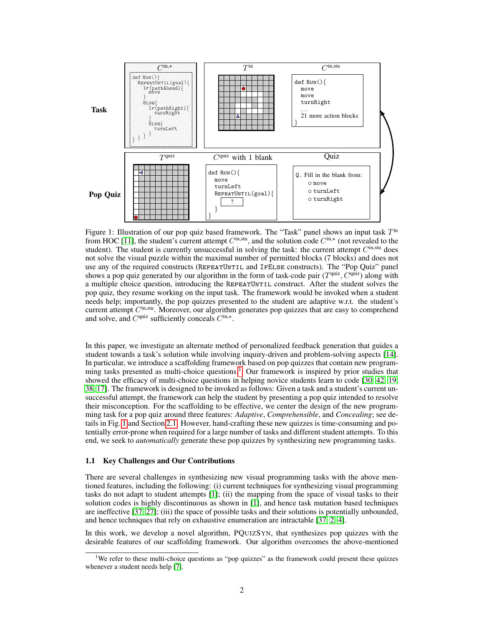<span id="page-1-1"></span>

Figure 1: Illustration of our pop quiz based framework. The "Task" panel shows an input task  $T<sup>in</sup>$ from HOC [\[11\]](#page-8-0), the student's current attempt  $C^{\text{in},\text{stu}}$ , and the solution code  $C^{\text{in},\star}$  (not revealed to the student). The student is currently unsuccessful in solving the task: the current attempt  $C<sup>in, stu</sup>$  does not solve the visual puzzle within the maximal number of permitted blocks (7 blocks) and does not use any of the required constructs (REPEATUNTIL and IFELSE constructs). The "Pop Quiz" panel shows a pop quiz generated by our algorithm in the form of task-code pair  $(T^{quiz}, C^{quiz})$  along with a multiple choice question, introducing the REPEATUNTIL construct. After the student solves the pop quiz, they resume working on the input task. The framework would be invoked when a student needs help; importantly, the pop quizzes presented to the student are adaptive w.r.t. the student's current attempt  $C<sup>in,stu</sup>$ . Moreover, our algorithm generates pop quizzes that are easy to comprehend and solve, and  $C^{quiz}$  sufficiently conceals  $C^{in,*}$ .

In this paper, we investigate an alternate method of personalized feedback generation that guides a student towards a task's solution while involving inquiry-driven and problem-solving aspects [\[14\]](#page-8-7). In particular, we introduce a scaffolding framework based on pop quizzes that contain new programming tasks presented as multi-choice questions.[1](#page-1-0) Our framework is inspired by prior studies that showed the efficacy of multi-choice questions in helping novice students learn to code [\[30,](#page-9-15) [42,](#page-9-16) [19,](#page-8-8) [38,](#page-9-17) [17\]](#page-8-9). The framework is designed to be invoked as follows: Given a task and a student's current unsuccessful attempt, the framework can help the student by presenting a pop quiz intended to resolve their misconception. For the scaffolding to be effective, we center the design of the new programming task for a pop quiz around three features: *Adaptive*, *Comprehensible*, and *Concealing*; see details in Fig. [1](#page-1-1) and Section [2.1.](#page-2-0) However, hand-crafting these new quizzes is time-consuming and potentially error-prone when required for a large number of tasks and different student attempts. To this end, we seek to *automatically* generate these pop quizzes by synthesizing new programming tasks.

#### <span id="page-1-2"></span>1.1 Key Challenges and Our Contributions

There are several challenges in synthesizing new visual programming tasks with the above mentioned features, including the following: (i) current techniques for synthesizing visual programming tasks do not adapt to student attempts [\[1\]](#page-8-10); (ii) the mapping from the space of visual tasks to their solution codes is highly discontinuous as shown in [\[1\]](#page-8-10), and hence task mutation based techniques are ineffective [\[37,](#page-9-18) [27\]](#page-9-19); (iii) the space of possible tasks and their solutions is potentially unbounded, and hence techniques that rely on exhaustive enumeration are intractable [\[37,](#page-9-18) [2,](#page-8-11) [4\]](#page-8-12).

In this work, we develop a novel algorithm, PQUIZSYN, that synthesizes pop quizzes with the desirable features of our scaffolding framework. Our algorithm overcomes the above-mentioned

<span id="page-1-0"></span><sup>&</sup>lt;sup>1</sup>We refer to these multi-choice questions as "pop quizzes" as the framework could present these quizzes whenever a student needs help [\[7\]](#page-8-13).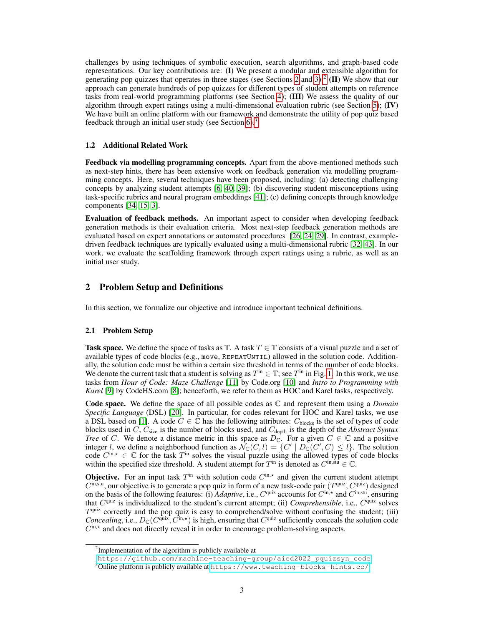challenges by using techniques of symbolic execution, search algorithms, and graph-based code representations. Our key contributions are: (I) We present a modular and extensible algorithm for generating pop quizzes that operates in three stages (see Sections [2](#page-2-1) and [3\)](#page-3-0);<sup>[2](#page-2-2)</sup> (II) We show that our approach can generate hundreds of pop quizzes for different types of student attempts on reference tasks from real-world programming platforms (see Section [4\)](#page-4-0); (III) We assess the quality of our algorithm through expert ratings using a multi-dimensional evaluation rubric (see Section [5\)](#page-5-0);  $(IV)$ We have built an online platform with our framework and demonstrate the utility of pop quiz based feedback through an initial user study (see Section  $6$ ).<sup>[3](#page-2-3)</sup>

#### 1.2 Additional Related Work

Feedback via modelling programming concepts. Apart from the above-mentioned methods such as next-step hints, there has been extensive work on feedback generation via modelling programming concepts. Here, several techniques have been proposed, including: (a) detecting challenging concepts by analyzing student attempts [\[6,](#page-8-4) [40,](#page-9-11) [39\]](#page-9-12); (b) discovering student misconceptions using task-specific rubrics and neural program embeddings [\[41\]](#page-9-13); (c) defining concepts through knowledge components [\[34,](#page-9-20) [15,](#page-8-14) [3\]](#page-8-15).

Evaluation of feedback methods. An important aspect to consider when developing feedback generation methods is their evaluation criteria. Most next-step feedback generation methods are evaluated based on expert annotations or automated procedures [\[26,](#page-9-4) [24,](#page-9-14) [29\]](#page-9-21). In contrast, exampledriven feedback techniques are typically evaluated using a multi-dimensional rubric [\[32,](#page-9-8) [43\]](#page-9-9). In our work, we evaluate the scaffolding framework through expert ratings using a rubric, as well as an initial user study.

## <span id="page-2-1"></span>2 Problem Setup and Definitions

In this section, we formalize our objective and introduce important technical definitions.

#### <span id="page-2-0"></span>2.1 Problem Setup

Task space. We define the space of tasks as  $\mathbb{T}$ . A task  $T \in \mathbb{T}$  consists of a visual puzzle and a set of available types of code blocks (e.g., move,  $REPEATUNTIL$ ) allowed in the solution code. Additionally, the solution code must be within a certain size threshold in terms of the number of code blocks. We denote the current task that a student is solving as  $T^{\text{in}} \in \mathbb{T}$ ; see  $T^{\text{in}}$  in Fig. [1.](#page-1-1) In this work, we use tasks from *Hour of Code: Maze Challenge* [\[11\]](#page-8-0) by Code.org [\[10\]](#page-8-16) and *Intro to Programming with* Karel [\[9\]](#page-8-1) by CodeHS.com [\[8\]](#page-8-17); henceforth, we refer to them as HOC and Karel tasks, respectively.

Code space. We define the space of all possible codes as C and represent them using a *Domain Specific Language* (DSL) [\[20\]](#page-8-18). In particular, for codes relevant for HOC and Karel tasks, we use a DSL based on [\[1\]](#page-8-10). A code  $C \in \mathbb{C}$  has the following attributes:  $C_{\text{blocks}}$  is the set of types of code blocks used in C, C<sub>size</sub> is the number of blocks used, and C<sub>depth</sub> is the depth of the *Abstract Syntax Tree* of C. We denote a distance metric in this space as  $D_{\mathbb{C}}$ . For a given  $C \in \mathbb{C}$  and a positive integer *l*, we define a neighborhood function as  $\mathcal{N}_{\mathbb{C}}(C, l) = \{C' \mid D_{\mathbb{C}}(C', C) \leq l\}$ . The solution code  $C^{\text{in},\star} \in \mathbb{C}$  for the task  $T^{\text{in}}$  solves the visual puzzle using the allowed types of code blocks within the specified size threshold. A student attempt for  $T^{\text{in}}$  is denoted as  $C^{\text{in}, \text{stu}} \in \mathbb{C}$ .

**Objective.** For an input task  $T^{\text{in}}$  with solution code  $C^{\text{in},*}$  and given the current student attempt  $C^{\text{in},\text{stu}}$ , our objective is to generate a pop quiz in form of a new task-code pair  $(T^{\text{quiz}}, C^{\text{quiz}})$  designed on the basis of the following features: (i) *Adaptive*, i.e.,  $C^{quiz}$  accounts for  $C^{in,*}$  and  $C^{in,sti}$ , ensuring that C<sup>quiz</sup> is individualized to the student's current attempt; (ii) *Comprehensible*, i.e., C<sup>quiz</sup> solves  $T<sup>quiz</sup>$  correctly and the pop quiz is easy to comprehend/solve without confusing the student; (iii) *Concealing*, i.e.,  $D_{\mathbb{C}}(C^{\text{quiz}}, \hat{C}^{\text{in},*})$  is high, ensuring that  $C^{\text{quiz}}$  sufficiently conceals the solution code Cin,\* and does not directly reveal it in order to encourage problem-solving aspects.

<span id="page-2-2"></span><sup>&</sup>lt;sup>2</sup>Implementation of the algorithm is publicly available at

[https://github.com/machine-teaching-group/aied2022\\_pquizsyn\\_code](https://github.com/machine-teaching-group/aied2022_pquizsyn_code)

<span id="page-2-3"></span><sup>3</sup>Online platform is publicly available at <https://www.teaching-blocks-hints.cc/>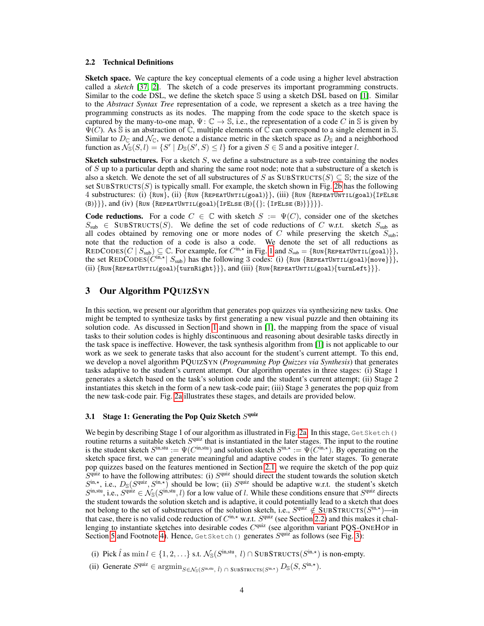#### <span id="page-3-1"></span>2.2 Technical Definitions

Sketch space. We capture the key conceptual elements of a code using a higher level abstraction called a *sketch* [\[37,](#page-9-18) [2\]](#page-8-11). The sketch of a code preserves its important programming constructs. Similar to the code DSL, we define the sketch space  $\mathbb S$  using a sketch DSL based on [\[1\]](#page-8-10). Similar to the *Abstract Syntax Tree* representation of a code, we represent a sketch as a tree having the programming constructs as its nodes. The mapping from the code space to the sketch space is captured by the many-to-one map,  $\Psi: \mathbb{C} \to \mathbb{S}$ , i.e., the representation of a code C in  $\mathbb{S}$  is given by  $\Psi(C)$ . As S is an abstraction of C, multiple elements of C can correspond to a single element in S. Similar to  $D_{\mathbb{C}}$  and  $\mathcal{N}_{\mathbb{C}}$ , we denote a distance metric in the sketch space as  $D_{\mathbb{S}}$  and a neighborhood function as  $\widetilde{\mathcal{N}}_{\mathbb{S}}(S, l) = \{ S' \mid D_{\mathbb{S}}(S', S) \leq l \}$  for a given  $S \in \mathbb{S}$  and a positive integer l.

**Sketch substructures.** For a sketch  $S$ , we define a substructure as a sub-tree containing the nodes of S up to a particular depth and sharing the same root node; note that a substructure of a sketch is also a sketch. We denote the set of all substructures of S as  $SUBSTRUCTS(S) \subseteq S$ ; the size of the set  $SUBSTRUCTS(S)$  is typically small. For example, the sketch shown in Fig. [2b](#page-4-1) has the following 4 substructures: (i) {Run}, (ii) {Run {RepeatUntil(goal)}}, (iii) {Run {RepeatUntil(goal){IfElse (B)} }, and (iv)  $\{\text{Run } \{ \text{REPERTUNITIL}(goal) \}$  [FELSE (B) $\{\{\}, \{\text{IFELSE (B)}\}\}\$  }.

**Code reductions.** For a code  $C \in \mathbb{C}$  with sketch  $S := \Psi(C)$ , consider one of the sketches  $S_{sub} \in$  SUBSTRUCTS(S). We define the set of code reductions of C w.r.t. sketch  $S_{sub}$  as all codes obtained by removing one or more nodes of  $C$  while preserving the sketch  $S_{sub}$ ; note that the reduction of a code is also a code. We denote the set of all reductions as REDCODES(C |  $S_{\text{sub}} \subseteq \mathbb{C}$ . For example, for  $C^{\text{in},\star}$  in Fig. [1](#page-1-1) and  $S_{\text{sub}} = \{\text{Run}\{\text{REpearUnrit}(goal)\}\}\,$ the set REDCODES( $C^{in,*}$  |  $S_{sub}$ ) has the following 3 codes: (i) {RUN {REPEATUNTIL(goal){move}}}, (ii) {Run{RepeatUntil(goal){turnRight}}}, and (iii) {Run{RepeatUntil(goal){turnLeft}}}.

# <span id="page-3-0"></span>3 Our Algorithm PQUIZSYN

In this section, we present our algorithm that generates pop quizzes via synthesizing new tasks. One might be tempted to synthesize tasks by first generating a new visual puzzle and then obtaining its solution code. As discussed in Section [1](#page-0-0) and shown in [\[1\]](#page-8-10), the mapping from the space of visual tasks to their solution codes is highly discontinuous and reasoning about desirable tasks directly in the task space is ineffective. However, the task synthesis algorithm from [\[1\]](#page-8-10) is not applicable to our work as we seek to generate tasks that also account for the student's current attempt. To this end, we develop a novel algorithm PQUIZSYN (*Programming Pop Quizzes via Synthesis*) that generates tasks adaptive to the student's current attempt. Our algorithm operates in three stages: (i) Stage 1 generates a sketch based on the task's solution code and the student's current attempt; (ii) Stage 2 instantiates this sketch in the form of a new task-code pair; (iii) Stage 3 generates the pop quiz from the new task-code pair. Fig. [2a](#page-4-1) illustrates these stages, and details are provided below.

#### <span id="page-3-2"></span>3.1 Stage 1: Generating the Pop Quiz Sketch  $S<sup>quiz</sup>$

We begin by describing Stage 1 of our algorithm as illustrated in Fig. [2a.](#page-4-1) In this stage, GetSketch() routine returns a suitable sketch  $S<sup>quiz</sup>$  that is instantiated in the later stages. The input to the routine is the student sketch  $S^{\text{in},\text{stu}} := \Psi(C^{\text{in},\text{stu}})$  and solution sketch  $S^{\text{in},\star} := \Psi(C^{\text{in},\star})$ . By operating on the sketch space first, we can generate meaningful and adaptive codes in the later stages. To generate pop quizzes based on the features mentioned in Section [2.1,](#page-2-0) we require the sketch of the pop quiz  $S<sup>quiz</sup>$  to have the following attributes: (i)  $S<sup>quiz</sup>$  should direct the student towards the solution sketch  $S^{\text{in},\star}$ , i.e.,  $D_{\mathbb{S}}(S^{\text{quiz}}, S^{\text{in},\star})$  should be low; (ii)  $S^{\text{quiz}}$  should be adaptive w.r.t. the student's sketch  $S^{\text{in}, \text{stu}}$ , i.e.,  $S^{\text{quiz}} \in \mathcal{N}_{\mathbb{S}}(S^{\text{in}, \text{stu}}, l)$  for a low value of l. While these conditions ensure that  $S^{\text{quiz}}$  directs the student towards the solution sketch and is adaptive, it could potentially lead to a sketch that does not belong to the set of substructures of the solution sketch, i.e.,  $S^{\text{quiz}} \notin \text{SUBSTRUCTS}(S^{\text{in},*})$ —in that case, there is no valid code reduction of  $C^{in,*}$  w.r.t.  $S^{quiz}$  (see Section [2.2\)](#page-3-1) and this makes it challenging to instantiate sketches into desirable codes  $C<sup>quiz</sup>$  (see algorithm variant PQS-ONEHOP in Section [5](#page-5-0) and Footnote [4\)](#page-4-2). Hence, Get Sketch() generates  $S<sup>quiz</sup>$  as follows (see Fig. [3\)](#page-4-1):

- (i) Pick  $\hat{l}$  as  $\min l \in \{1, 2, ...\}$  s.t.  $\mathcal{N}_{\mathbb{S}}(S^{\text{in}, \text{stu}}, l) \cap \text{SUBSTRUCTS}(S^{\text{in}, \star})$  is non-empty.
- (ii) Generate  $S^{\text{quiz}} \in \text{argmin}_{S \in \mathcal{N}_{\mathbb{S}}(S^{\text{in},\text{stu}}; \hat{l})} \cap \text{SUBSTRUCTS}(S^{\text{in},\star})} D_{\mathbb{S}}(S, S^{\text{in},\star}).$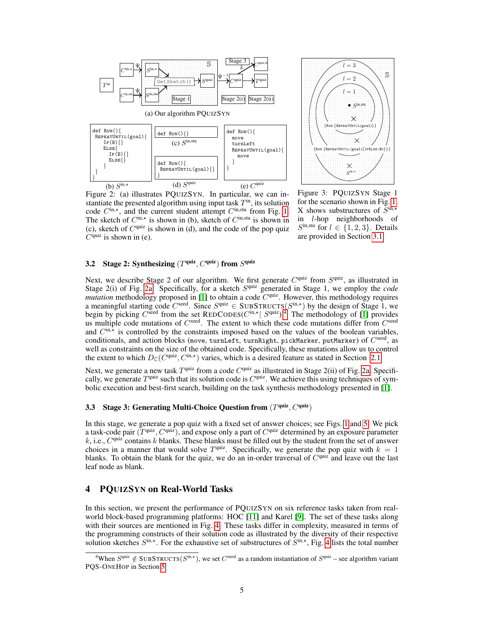<span id="page-4-1"></span>



Figure 2: (a) illustrates PQUIZSYN. In particular, we can instantiate the presented algorithm using input task  $T<sup>in</sup>$ , its solution code  $C^{\text{in},\star}$ , and the current student attempt  $C^{\text{in},\text{stu}}$  from Fig. [1.](#page-1-1) The sketch of  $C^{\text{in},\star}$  is shown in (b), sketch of  $C^{\text{in},\text{stu}}$  is shown in (c), sketch of  $C^{quiz}$  is shown in (d), and the code of the pop quiz  $C<sup>quiz</sup>$  is shown in (e).

Figure 3: PQUIZSYN Stage 1 for the scenario shown in Fig. [1.](#page-1-1) X shows substructures of  $\overline{S}^{\text{in},\star}$ in l-hop neighborhoods of  $S^{in, stu}$  for  $l \in \{1, 2, 3\}$ . Details are provided in Section [3.1.](#page-3-2)

#### <span id="page-4-3"></span>3.2 Stage 2: Synthesizing  $(T^{\text{quiz}}, C^{\text{quiz}})$  from  $S^{\text{quiz}}$

Next, we describe Stage 2 of our algorithm. We first generate  $C^{quiz}$  from  $S^{quiz}$ , as illustrated in Stage 2(i) of Fig. [2a.](#page-4-1) Specifically, for a sketch  $S<sup>quiz</sup>$  generated in Stage 1, we employ the *code mutation* methodology proposed in [\[1\]](#page-8-10) to obtain a code  $C<sup>quiz</sup>$ . However, this methodology requires a meaningful starting code  $C^{seed}$ . Since  $S^{quiz} \in SUBSTRUCTS(S^{in,*})$  by the design of Stage 1, we begin by picking  $C^{seed}$  from the set REDCODES( $C^{in,*}$ )  $S^{quiz}$ ).<sup>[4](#page-4-2)</sup> The methodology of [\[1\]](#page-8-10) provides us multiple code mutations of  $C^{seed}$ . The extent to which these code mutations differ from  $C^{seed}$ and  $C^{\text{in},\star}$  is controlled by the constraints imposed based on the values of the boolean variables, conditionals, and action blocks (move, turnLeft, turnRight, pickMarker, putMarker) of  $C^{\rm seed}$ , as well as constraints on the size of the obtained code. Specifically, these mutations allow us to control the extent to which  $D_{\mathbb{C}}(C^{\text{quiz}}, C^{\text{in},*})$  varies, which is a desired feature as stated in Section [2.1.](#page-2-0)

Next, we generate a new task  $T<sup>quiz</sup>$  from a code  $C<sup>quiz</sup>$  as illustrated in Stage 2(ii) of Fig. [2a.](#page-4-1) Specifically, we generate  $T^{quiz}$  such that its solution code is  $C^{quiz}$ . We achieve this using techniques of symbolic execution and best-first search, building on the task synthesis methodology presented in [\[1\]](#page-8-10).

#### 3.3 Stage 3: Generating Multi-Choice Question from  $(T^{\text{quiz}}, C^{\text{quiz}})$

In this stage, we generate a pop quiz with a fixed set of answer choices; see Figs. [1](#page-1-1) and [5.](#page-6-1) We pick a task-code pair  $(T^{\text{quiz}}, C^{\text{quiz}})$ , and expose only a part of  $C^{\text{quiz}}$  determined by an exposure parameter  $k$ , i.e.,  $C^{quiz}$  contains k blanks. These blanks must be filled out by the student from the set of answer choices in a manner that would solve  $T<sup>quiz</sup>$ . Specifically, we generate the pop quiz with  $k = 1$ blanks. To obtain the blank for the quiz, we do an in-order traversal of  $C<sup>quiz</sup>$  and leave out the last leaf node as blank.

## <span id="page-4-0"></span>4 PQUIZSYN on Real-World Tasks

In this section, we present the performance of PQUIZSYN on six reference tasks taken from realworld block-based programming platforms: HOC [\[11\]](#page-8-0) and Karel [\[9\]](#page-8-1). The set of these tasks along with their sources are mentioned in Fig. [4.](#page-5-1) These tasks differ in complexity, measured in terms of the programming constructs of their solution code as illustrated by the diversity of their respective solution sketches  $S^{\text{in},\star}$ . For the exhaustive set of substructures of  $S^{\text{in},\star}$ , Fig. [4](#page-5-1) lists the total number

<span id="page-4-2"></span><sup>&</sup>lt;sup>4</sup>When  $S^{\text{quiz}} \notin \text{SUBSTRUCTS}(S^{\text{in},\star})$ , we set  $C^{\text{seed}}$  as a random instantiation of  $S^{\text{quiz}}$  – see algorithm variant PQS-ONEHOP in Section [5.](#page-5-0)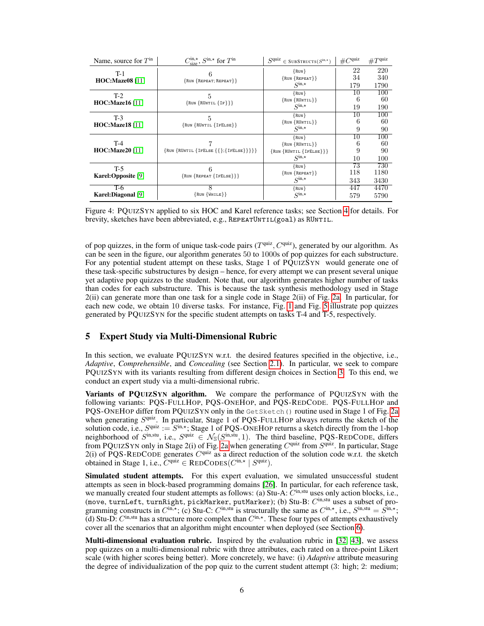<span id="page-5-1"></span>

| Name, source for $Tin$          | $C_{\text{size}}^{\text{in},\star}$ , $S^{\text{in},\star}$ for $T^{\text{in}}$ | S <sub>quiz</sub><br>$\in$ SUBSTRUCTS( $S^{\text{in},\star}$ )               | $\#C^{\text{quiz}}$           | $\#T^{\text{quiz}}$    |
|---------------------------------|---------------------------------------------------------------------------------|------------------------------------------------------------------------------|-------------------------------|------------------------|
| $T-1$<br><b>HOC:Maze08</b> [11] | $\{Run\}$ REPEAT; REPEAT}}                                                      | $\{Run\}$<br>$\{Run\{REPEAT\}\}\$<br>$Sin,*$                                 | 22<br>34                      | 220<br>340             |
|                                 |                                                                                 | {RUN}                                                                        | 179<br>10                     | 1790<br>100            |
| $T-2$<br><b>HOC:Maze16</b> [11] | 5<br>$\{Run\{RUNTIL\{IF\}\}\}\$                                                 | $\{RUN \{RUNTIL\}\}\$<br>$\mathcal{S}^{\text{in},\star}$                     | 6<br>19                       | 60<br>190              |
| $T-3$<br><b>HOC:Maze18</b> [11] | 5<br>$\{Run\}$ (RUNTIL $\{IFELSE\}$ )                                           | {RUN}<br>$\{RUN \{RUNTIL\}\}\$<br>$Sin,*$                                    | 10<br>6<br>9                  | 100<br>60<br>90        |
| $T-4$<br><b>HOC:Maze20</b> [11] | $\{Run\{RUNTIL\{IFELSE\{\{\};\{IFELSE\}\}\}\}\}\$                               | {RUN}<br>$\{RUN \{RUNTIL\}\}\$<br>$\{Run\{{RUNTIL}{{IFELSE}}\}\}$<br>$Sin,*$ | 10<br>6<br>9<br>10            | 100<br>60<br>90<br>100 |
| $T-5$<br>Karel:Opposite [9]     | $\{Run\{REPERT\{IFElse\}\}\}\$                                                  | {RUN}<br>$\{Run\{REPEAT\}\}\$<br>$S^{\text{in},\star}$                       | $\overline{73}$<br>118<br>343 | 730<br>1180<br>3430    |
| T-6<br>Karel:Diagonal [9]       | $\{Run\{White\}\}$                                                              | {RUN}<br>$S^{\text{in},\star}$                                               | 447<br>579                    | 4470<br>5790           |

Figure 4: PQUIZSYN applied to six HOC and Karel reference tasks; see Section [4](#page-4-0) for details. For brevity, sketches have been abbreviated, e.g.,  $REPERTUNITIL(goal)$  as RUNTIL.

of pop quizzes, in the form of unique task-code pairs  $(T^{\text{quiz}}, C^{\text{quiz}})$ , generated by our algorithm. As can be seen in the figure, our algorithm generates 50 to 1000s of pop quizzes for each substructure. For any potential student attempt on these tasks, Stage 1 of PQUIZSYN would generate one of these task-specific substructures by design – hence, for every attempt we can present several unique yet adaptive pop quizzes to the student. Note that, our algorithm generates higher number of tasks than codes for each substructure. This is because the task synthesis methodology used in Stage 2(ii) can generate more than one task for a single code in Stage 2(ii) of Fig. [2a.](#page-4-1) In particular, for each new code, we obtain 10 diverse tasks. For instance, Fig. [1](#page-1-1) and Fig. [5](#page-6-1) illustrate pop quizzes generated by PQUIZSYN for the specific student attempts on tasks T-4 and T-5, respectively.

## <span id="page-5-0"></span>5 Expert Study via Multi-Dimensional Rubric

In this section, we evaluate PQUIZSYN w.r.t. the desired features specified in the objective, i.e., *Adaptive*, *Comprehensible*, and *Concealing* (see Section [2.1\)](#page-2-0). In particular, we seek to compare PQUIZSYN with its variants resulting from different design choices in Section [3.](#page-3-0) To this end, we conduct an expert study via a multi-dimensional rubric.

Variants of PQUIZSYN algorithm. We compare the performance of PQUIZSYN with the following variants: PQS-FULLHOP, PQS-ONEHOP, and PQS-REDCODE. PQS-FULLHOP and PQS-ONEHOP differ from PQUIZSYN only in the GetSketch() routine used in Stage 1 of Fig. [2a](#page-4-1) when generating  $S<sup>quiz</sup>$ . In particular, Stage 1 of PQS-FULLHOP always returns the sketch of the solution code, i.e.,  $S^{\text{quiz}} := S^{\text{in},\star}$ ; Stage 1 of PQS-ONEHOP returns a sketch directly from the 1-hop neighborhood of  $S^{\text{in},\text{stu}}$ , i.e.,  $S^{\text{quiz}} \in \mathcal{N}_{\mathbb{S}}(S^{\text{in},\text{stu}}, 1)$ . The third baseline, PQS-REDCODE, differs from PQUIZSYN only in Stage 2(i) of Fig. [2a](#page-4-1) when generating  $C^{quiz}$  from  $S^{quiz}$ . In particular, Stage 2(i) of PQS-REDCODE generates  $C^{quiz}$  as a direct reduction of the solution code w.r.t. the sketch obtained in Stage 1, i.e.,  $C^{quiz} \in \text{REDCODEs}(C^{in,*} | S^{quiz}).$ 

Simulated student attempts. For this expert evaluation, we simulated unsuccessful student attempts as seen in block-based programming domains [\[26\]](#page-9-4). In particular, for each reference task, we manually created four student attempts as follows: (a) Stu-A: C<sup>tin,stu</sup> uses only action blocks, i.e., (move, turnLeft, turnRight, pickMarker, putMarker); (b) Stu-B:  $C^{\text{in,stu}}$  uses a subset of programming constructs in  $C^{\text{in},*}$ ; (c) Stu-C:  $C^{\text{in},\text{stu}}$  is structurally the same as  $C^{\text{in},*}$ , i.e.,  $S^{\text{in},\text{stu}} = \hat{S}^{\text{in},*}$ ; (d) Stu-D:  $C^{\text{in},\text{stu}}$  has a structure more complex than  $C^{\text{in},\star}$ . These four types of attempts exhaustively cover all the scenarios that an algorithm might encounter when deployed (see Section [6\)](#page-6-0).

**Multi-dimensional evaluation rubric.** Inspired by the evaluation rubric in [\[32,](#page-9-8) [43\]](#page-9-9), we assess pop quizzes on a multi-dimensional rubric with three attributes, each rated on a three-point Likert scale (with higher scores being better). More concretely, we have: (i) *Adaptive* attribute measuring the degree of individualization of the pop quiz to the current student attempt (3: high; 2: medium;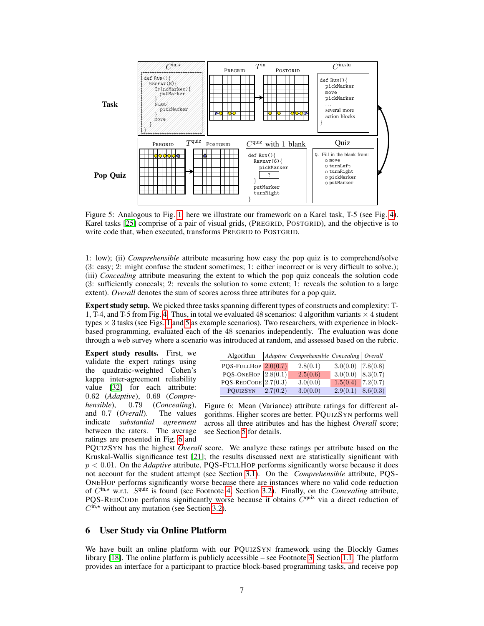<span id="page-6-1"></span>

Figure 5: Analogous to Fig. [1,](#page-1-1) here we illustrate our framework on a Karel task, T-5 (see Fig. [4\)](#page-5-1). Karel tasks [\[25\]](#page-9-1) comprise of a pair of visual grids, (PREGRID, POSTGRID), and the objective is to write code that, when executed, transforms PREGRID to POSTGRID.

1: low); (ii) *Comprehensible* attribute measuring how easy the pop quiz is to comprehend/solve (3: easy; 2: might confuse the student sometimes; 1: either incorrect or is very difficult to solve.); (iii) *Concealing* attribute measuring the extent to which the pop quiz conceals the solution code (3: sufficiently conceals; 2: reveals the solution to some extent; 1: reveals the solution to a large extent). *Overall* denotes the sum of scores across three attributes for a pop quiz.

Expert study setup. We picked three tasks spanning different types of constructs and complexity: T-1, T-4, and T-5 from Fig. [4.](#page-5-1) Thus, in total we evaluated 48 scenarios: 4 algorithm variants  $\times$  4 student types  $\times$  3 tasks (see Figs. [1](#page-1-1) and [5](#page-6-1) as example scenarios). Two researchers, with experience in blockbased programming, evaluated each of the 48 scenarios independently. The evaluation was done through a web survey where a scenario was introduced at random, and assessed based on the rubric.

Expert study results. First, we validate the expert ratings using the quadratic-weighted Cohen's kappa inter-agreement reliability value [\[32\]](#page-9-8) for each attribute: 0.62 (*Adaptive*), 0.69 (*Comprehensible*), 0.79 (*Concealing*), and 0.7 (*Overall*). The values indicate *substantial agreement* between the raters. The average ratings are presented in Fig. [6](#page-6-2) and

<span id="page-6-2"></span>

| Algorithm                |          | Adaptive Comprehensible Concealing   Overall |                       |          |
|--------------------------|----------|----------------------------------------------|-----------------------|----------|
| PQS-FULLHOP $ 2.0(0.7) $ |          | 2.8(0.1)                                     | $3.0(0.0)$   7.8(0.8) |          |
| PQS-ONEHOP $2.8(0.1)$    |          | 2.5(0.6)                                     | $3.0(0.0)$ 8.3(0.7)   |          |
| $PQS$ -REDCODE 2.7(0.3)  |          | 3.0(0.0)                                     | $1.5(0.4)$ 7.2(0.7)   |          |
| POUIZSYN                 | 2.7(0.2) | 3.0(0.0)                                     | 2.9(0.1)              | 8.6(0.3) |

Figure 6: Mean (Variance) attribute ratings for different algorithms. Higher scores are better. PQUIZSYN performs well across all three attributes and has the highest *Overall* score; see Section [5](#page-5-0) for details.

PQUIZSYN has the highest *Overall* score. We analyze these ratings per attribute based on the Kruskal-Wallis significance test [\[21\]](#page-8-19); the results discussed next are statistically significant with p < 0.01. On the *Adaptive* attribute, PQS-FULLHOP performs significantly worse because it does not account for the student attempt (see Section [3.1\)](#page-3-2). On the *Comprehensible* attribute, PQS-ONEHOP performs significantly worse because there are instances where no valid code reduction of C<sup>in,\*</sup> w.r.t. S<sup>quiz</sup> is found (see Footnote [4,](#page-4-2) Section [3.2\)](#page-4-3). Finally, on the *Concealing* attribute, PQS-REDCODE performs significantly worse because it obtains  $C^{quiz}$  via a direct reduction of  $C^{\text{in},\star}$  without any mutation (see Section [3.2\)](#page-4-3).

## <span id="page-6-0"></span>6 User Study via Online Platform

We have built an online platform with our PQUIZSYN framework using the Blockly Games library [\[18\]](#page-8-20). The online platform is publicly accessible – see Footnote [3,](#page-2-3) Section [1.1.](#page-1-2) The platform provides an interface for a participant to practice block-based programming tasks, and receive pop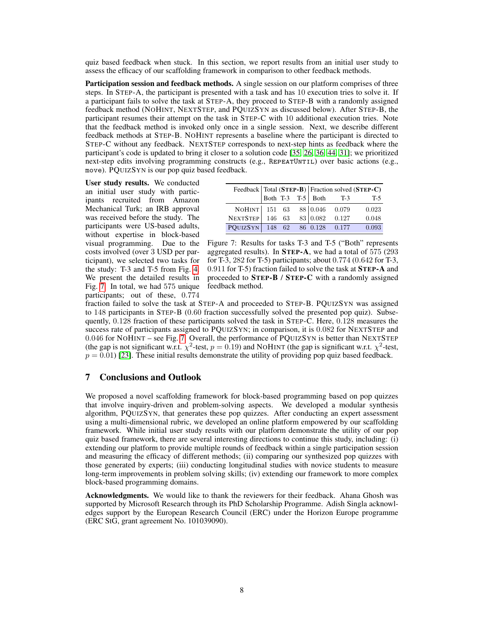quiz based feedback when stuck. In this section, we report results from an initial user study to assess the efficacy of our scaffolding framework in comparison to other feedback methods.

Participation session and feedback methods. A single session on our platform comprises of three steps. In STEP-A, the participant is presented with a task and has 10 execution tries to solve it. If a participant fails to solve the task at STEP-A, they proceed to STEP-B with a randomly assigned feedback method (NOHINT, NEXTSTEP, and PQUIZSYN as discussed below). After STEP-B, the participant resumes their attempt on the task in STEP-C with 10 additional execution tries. Note that the feedback method is invoked only once in a single session. Next, we describe different feedback methods at STEP-B. NOHINT represents a baseline where the participant is directed to STEP-C without any feedback. NEXTSTEP corresponds to next-step hints as feedback where the participant's code is updated to bring it closer to a solution code [\[35,](#page-9-3) [26,](#page-9-4) [36,](#page-9-5) [44,](#page-9-6) [31\]](#page-9-7); we prioritized next-step edits involving programming constructs (e.g., REPEATUNTIL) over basic actions (e.g., move). PQUIZSYN is our pop quiz based feedback.

User study results. We conducted an initial user study with participants recruited from Amazon Mechanical Turk; an IRB approval was received before the study. The participants were US-based adults, without expertise in block-based visual programming. Due to the costs involved (over 3 USD per participant), we selected two tasks for the study: T-3 and T-5 from Fig. [4.](#page-5-1) We present the detailed results in Fig. [7.](#page-7-0) In total, we had 575 unique participants; out of these, 0.774

<span id="page-7-0"></span>

|                                |  |  |  | Feedback   Total (STEP-B)   Fraction solved (STEP-C) |                       |       |
|--------------------------------|--|--|--|------------------------------------------------------|-----------------------|-------|
|                                |  |  |  |                                                      | Both T-3 T-5 Both T-3 | T-5   |
| NOHINT 151 63 88 0.046 0.079   |  |  |  |                                                      |                       | 0.023 |
| NEXTSTEP 146 63 83 0.082 0.127 |  |  |  |                                                      |                       | 0.048 |
| PQUIZSYN 148 62 86 0.128 0.177 |  |  |  |                                                      |                       | 0.093 |

Figure 7: Results for tasks T-3 and T-5 ("Both" represents aggregated results). In STEP-A, we had a total of 575 (293 for T-3, 282 for T-5) participants; about 0.774 (0.642 for T-3, 0.911 for T-5) fraction failed to solve the task at STEP-A and proceeded to STEP-B / STEP-C with a randomly assigned feedback method.

fraction failed to solve the task at STEP-A and proceeded to STEP-B. PQUIZSYN was assigned to 148 participants in STEP-B (0.60 fraction successfully solved the presented pop quiz). Subsequently, 0.128 fraction of these participants solved the task in STEP-C. Here, 0.128 measures the success rate of participants assigned to PQUIZSYN; in comparison, it is 0.082 for NEXTSTEP and 0.046 for NOHINT – see Fig. [7.](#page-7-0) Overall, the performance of PQUIZSYN is better than NEXTSTEP (the gap is not significant w.r.t.  $\chi^2$ -test,  $p = 0.19$ ) and NOHINT (the gap is significant w.r.t.  $\chi^2$ -test,  $p = 0.01$ ) [\[23\]](#page-9-22). These initial results demonstrate the utility of providing pop quiz based feedback.

# 7 Conclusions and Outlook

We proposed a novel scaffolding framework for block-based programming based on pop quizzes that involve inquiry-driven and problem-solving aspects. We developed a modular synthesis algorithm, PQUIZSYN, that generates these pop quizzes. After conducting an expert assessment using a multi-dimensional rubric, we developed an online platform empowered by our scaffolding framework. While initial user study results with our platform demonstrate the utility of our pop quiz based framework, there are several interesting directions to continue this study, including: (i) extending our platform to provide multiple rounds of feedback within a single participation session and measuring the efficacy of different methods; (ii) comparing our synthesized pop quizzes with those generated by experts; (iii) conducting longitudinal studies with novice students to measure long-term improvements in problem solving skills; (iv) extending our framework to more complex block-based programming domains.

Acknowledgments. We would like to thank the reviewers for their feedback. Ahana Ghosh was supported by Microsoft Research through its PhD Scholarship Programme. Adish Singla acknowledges support by the European Research Council (ERC) under the Horizon Europe programme (ERC StG, grant agreement No. 101039090).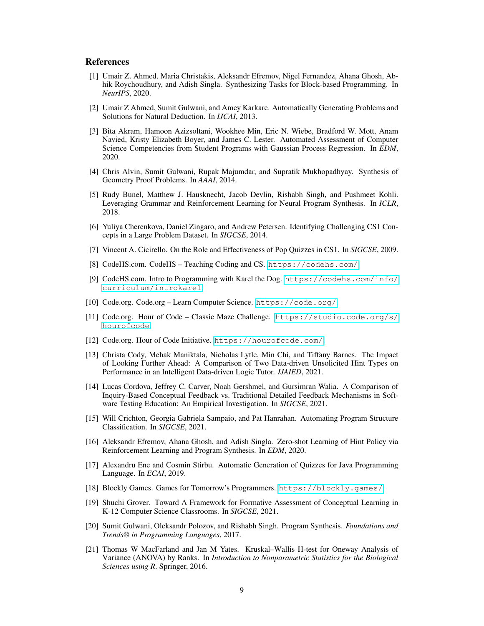#### References

- <span id="page-8-10"></span>[1] Umair Z. Ahmed, Maria Christakis, Aleksandr Efremov, Nigel Fernandez, Ahana Ghosh, Abhik Roychoudhury, and Adish Singla. Synthesizing Tasks for Block-based Programming. In *NeurIPS*, 2020.
- <span id="page-8-11"></span>[2] Umair Z Ahmed, Sumit Gulwani, and Amey Karkare. Automatically Generating Problems and Solutions for Natural Deduction. In *IJCAI*, 2013.
- <span id="page-8-15"></span>[3] Bita Akram, Hamoon Azizsoltani, Wookhee Min, Eric N. Wiebe, Bradford W. Mott, Anam Navied, Kristy Elizabeth Boyer, and James C. Lester. Automated Assessment of Computer Science Competencies from Student Programs with Gaussian Process Regression. In *EDM*, 2020.
- <span id="page-8-12"></span>[4] Chris Alvin, Sumit Gulwani, Rupak Majumdar, and Supratik Mukhopadhyay. Synthesis of Geometry Proof Problems. In *AAAI*, 2014.
- <span id="page-8-6"></span>[5] Rudy Bunel, Matthew J. Hausknecht, Jacob Devlin, Rishabh Singh, and Pushmeet Kohli. Leveraging Grammar and Reinforcement Learning for Neural Program Synthesis. In *ICLR*, 2018.
- <span id="page-8-4"></span>[6] Yuliya Cherenkova, Daniel Zingaro, and Andrew Petersen. Identifying Challenging CS1 Concepts in a Large Problem Dataset. In *SIGCSE*, 2014.
- <span id="page-8-13"></span>[7] Vincent A. Cicirello. On the Role and Effectiveness of Pop Quizzes in CS1. In *SIGCSE*, 2009.
- <span id="page-8-17"></span>[8] CodeHS.com. CodeHS – Teaching Coding and CS. <https://codehs.com/>.
- <span id="page-8-1"></span>[9] CodeHS.com. Intro to Programming with Karel the Dog. [https://codehs.com/info/](https://codehs.com/info/curriculum/introkarel) [curriculum/introkarel](https://codehs.com/info/curriculum/introkarel).
- <span id="page-8-16"></span>[10] Code.org. Code.org – Learn Computer Science. <https://code.org/>.
- <span id="page-8-0"></span>[11] Code.org. Hour of Code – Classic Maze Challenge. [https://studio.code.org/s/](https://studio.code.org/s/hourofcode) [hourofcode](https://studio.code.org/s/hourofcode).
- <span id="page-8-2"></span>[12] Code.org. Hour of Code Initiative. <https://hourofcode.com/>.
- <span id="page-8-3"></span>[13] Christa Cody, Mehak Maniktala, Nicholas Lytle, Min Chi, and Tiffany Barnes. The Impact of Looking Further Ahead: A Comparison of Two Data-driven Unsolicited Hint Types on Performance in an Intelligent Data-driven Logic Tutor. *IJAIED*, 2021.
- <span id="page-8-7"></span>[14] Lucas Cordova, Jeffrey C. Carver, Noah Gershmel, and Gursimran Walia. A Comparison of Inquiry-Based Conceptual Feedback vs. Traditional Detailed Feedback Mechanisms in Software Testing Education: An Empirical Investigation. In *SIGCSE*, 2021.
- <span id="page-8-14"></span>[15] Will Crichton, Georgia Gabriela Sampaio, and Pat Hanrahan. Automating Program Structure Classification. In *SIGCSE*, 2021.
- <span id="page-8-5"></span>[16] Aleksandr Efremov, Ahana Ghosh, and Adish Singla. Zero-shot Learning of Hint Policy via Reinforcement Learning and Program Synthesis. In *EDM*, 2020.
- <span id="page-8-9"></span>[17] Alexandru Ene and Cosmin Stirbu. Automatic Generation of Quizzes for Java Programming Language. In *ECAI*, 2019.
- <span id="page-8-20"></span>[18] Blockly Games. Games for Tomorrow's Programmers. <https://blockly.games/>.
- <span id="page-8-8"></span>[19] Shuchi Grover. Toward A Framework for Formative Assessment of Conceptual Learning in K-12 Computer Science Classrooms. In *SIGCSE*, 2021.
- <span id="page-8-18"></span>[20] Sumit Gulwani, Oleksandr Polozov, and Rishabh Singh. Program Synthesis. *Foundations and Trends® in Programming Languages*, 2017.
- <span id="page-8-19"></span>[21] Thomas W MacFarland and Jan M Yates. Kruskal–Wallis H-test for Oneway Analysis of Variance (ANOVA) by Ranks. In *Introduction to Nonparametric Statistics for the Biological Sciences using R*. Springer, 2016.